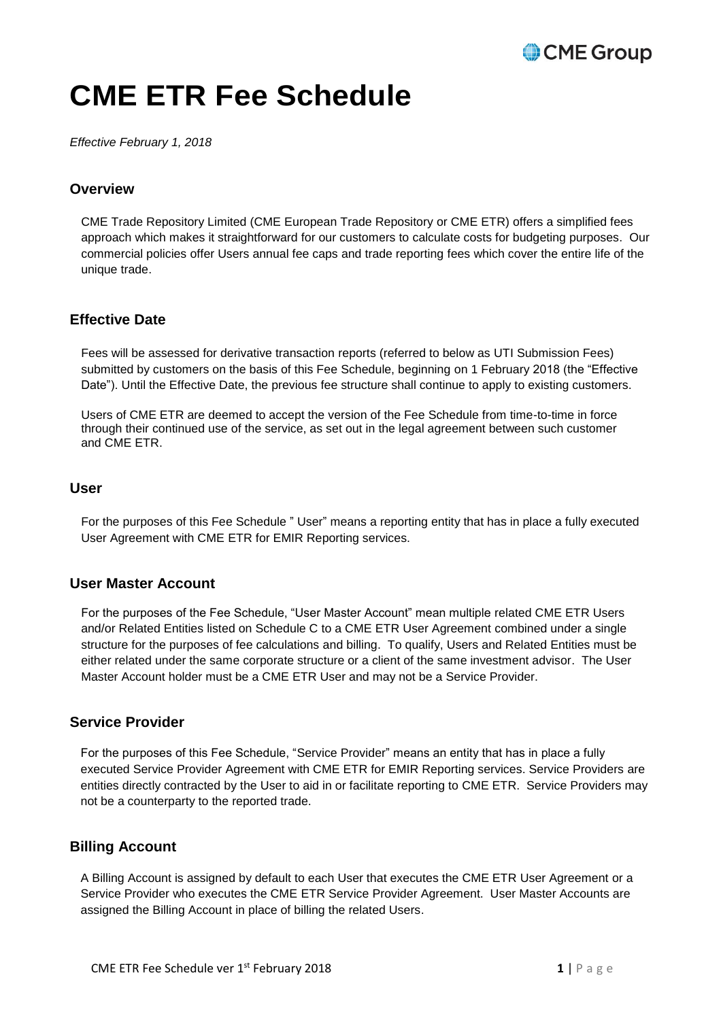# CME Group

# **CME ETR Fee Schedule**

*Effective February 1, 2018*

# **Overview**

CME Trade Repository Limited (CME European Trade Repository or CME ETR) offers a simplified fees approach which makes it straightforward for our customers to calculate costs for budgeting purposes. Our commercial policies offer Users annual fee caps and trade reporting fees which cover the entire life of the unique trade.

# **Effective Date**

Fees will be assessed for derivative transaction reports (referred to below as UTI Submission Fees) submitted by customers on the basis of this Fee Schedule, beginning on 1 February 2018 (the "Effective Date"). Until the Effective Date, the previous fee structure shall continue to apply to existing customers.

Users of CME ETR are deemed to accept the version of the Fee Schedule from time-to-time in force through their continued use of the service, as set out in the legal agreement between such customer and CME ETR.

## **User**

For the purposes of this Fee Schedule " User" means a reporting entity that has in place a fully executed User Agreement with CME ETR for EMIR Reporting services.

# **User Master Account**

For the purposes of the Fee Schedule, "User Master Account" mean multiple related CME ETR Users and/or Related Entities listed on Schedule C to a CME ETR User Agreement combined under a single structure for the purposes of fee calculations and billing. To qualify, Users and Related Entities must be either related under the same corporate structure or a client of the same investment advisor. The User Master Account holder must be a CME ETR User and may not be a Service Provider.

# **Service Provider**

For the purposes of this Fee Schedule, "Service Provider" means an entity that has in place a fully executed Service Provider Agreement with CME ETR for EMIR Reporting services. Service Providers are entities directly contracted by the User to aid in or facilitate reporting to CME ETR. Service Providers may not be a counterparty to the reported trade.

# **Billing Account**

A Billing Account is assigned by default to each User that executes the CME ETR User Agreement or a Service Provider who executes the CME ETR Service Provider Agreement. User Master Accounts are assigned the Billing Account in place of billing the related Users.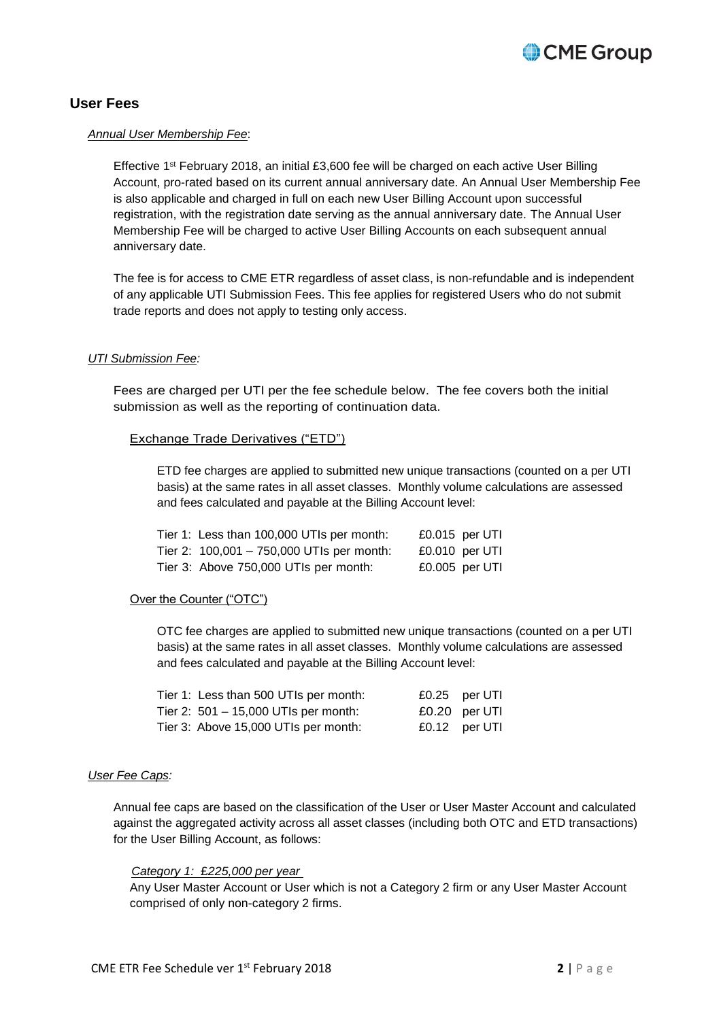

# **User Fees**

#### *Annual User Membership Fee*:

Effective 1<sup>st</sup> February 2018, an initial £3,600 fee will be charged on each active User Billing Account, pro-rated based on its current annual anniversary date. An Annual User Membership Fee is also applicable and charged in full on each new User Billing Account upon successful registration, with the registration date serving as the annual anniversary date. The Annual User Membership Fee will be charged to active User Billing Accounts on each subsequent annual anniversary date.

The fee is for access to CME ETR regardless of asset class, is non-refundable and is independent of any applicable UTI Submission Fees. This fee applies for registered Users who do not submit trade reports and does not apply to testing only access.

#### *UTI Submission Fee:*

Fees are charged per UTI per the fee schedule below. The fee covers both the initial submission as well as the reporting of continuation data.

#### **Exchange Trade Derivatives ("ETD")**

ETD fee charges are applied to submitted new unique transactions (counted on a per UTI basis) at the same rates in all asset classes. Monthly volume calculations are assessed and fees calculated and payable at the Billing Account level:

| Tier 1: Less than 100,000 UTIs per month:   |                  | £0.015 per UTI |
|---------------------------------------------|------------------|----------------|
| Tier 2: $100,001 - 750,000$ UTIs per month: | $£0.010$ per UTI |                |
| Tier 3: Above 750,000 UTIs per month:       | £0.005 per $UTI$ |                |

#### Over the Counter ("OTC")

OTC fee charges are applied to submitted new unique transactions (counted on a per UTI basis) at the same rates in all asset classes. Monthly volume calculations are assessed and fees calculated and payable at the Billing Account level:

| Tier 1: Less than 500 UTIs per month:  | £0.25 per UTI |
|----------------------------------------|---------------|
| Tier 2: $501 - 15,000$ UTIs per month: | £0.20 per UTI |
| Tier 3: Above 15,000 UTIs per month:   | £0.12 per UTI |

#### *User Fee Caps:*

Annual fee caps are based on the classification of the User or User Master Account and calculated against the aggregated activity across all asset classes (including both OTC and ETD transactions) for the User Billing Account, as follows:

#### *Category 1:* £*225,000 per year*

Any User Master Account or User which is not a Category 2 firm or any User Master Account comprised of only non-category 2 firms.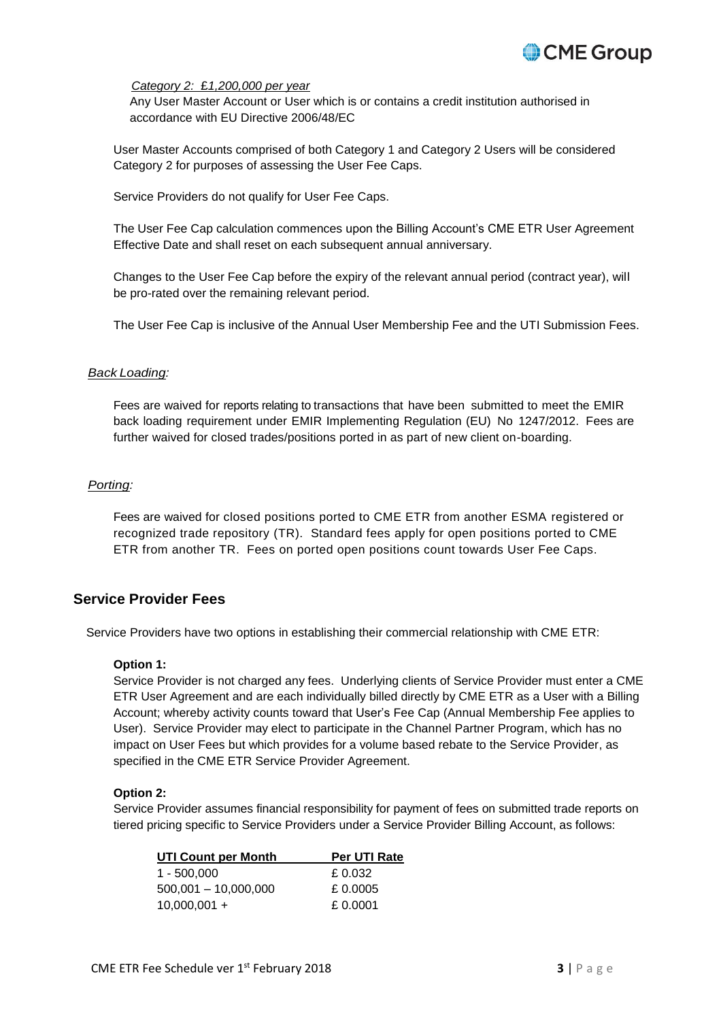

#### *Category 2:* £*1,200,000 per year*

Any User Master Account or User which is or contains a credit institution authorised in accordance with EU Directive 2006/48/EC

User Master Accounts comprised of both Category 1 and Category 2 Users will be considered Category 2 for purposes of assessing the User Fee Caps.

Service Providers do not qualify for User Fee Caps.

The User Fee Cap calculation commences upon the Billing Account's CME ETR User Agreement Effective Date and shall reset on each subsequent annual anniversary.

Changes to the User Fee Cap before the expiry of the relevant annual period (contract year), will be pro-rated over the remaining relevant period.

The User Fee Cap is inclusive of the Annual User Membership Fee and the UTI Submission Fees.

#### *Back Loading:*

Fees are waived for reports relating to transactions that have been submitted to meet the EMIR back loading requirement under EMIR Implementing Regulation (EU) No 1247/2012. Fees are further waived for closed trades/positions ported in as part of new client on-boarding.

#### *Porting:*

Fees are waived for closed positions ported to CME ETR from another ESMA registered or recognized trade repository (TR). Standard fees apply for open positions ported to CME ETR from another TR. Fees on ported open positions count towards User Fee Caps.

## **Service Provider Fees**

Service Providers have two options in establishing their commercial relationship with CME ETR:

#### **Option 1:**

Service Provider is not charged any fees. Underlying clients of Service Provider must enter a CME ETR User Agreement and are each individually billed directly by CME ETR as a User with a Billing Account; whereby activity counts toward that User's Fee Cap (Annual Membership Fee applies to User). Service Provider may elect to participate in the Channel Partner Program, which has no impact on User Fees but which provides for a volume based rebate to the Service Provider, as specified in the CME ETR Service Provider Agreement.

#### **Option 2:**

Service Provider assumes financial responsibility for payment of fees on submitted trade reports on tiered pricing specific to Service Providers under a Service Provider Billing Account, as follows:

| <b>UTI Count per Month</b> | <b>Per UTI Rate</b> |  |
|----------------------------|---------------------|--|
| 1 - 500.000                | £ 0.032             |  |
| $500,001 - 10,000,000$     | £0.0005             |  |
| $10,000,001 +$             | £0.0001             |  |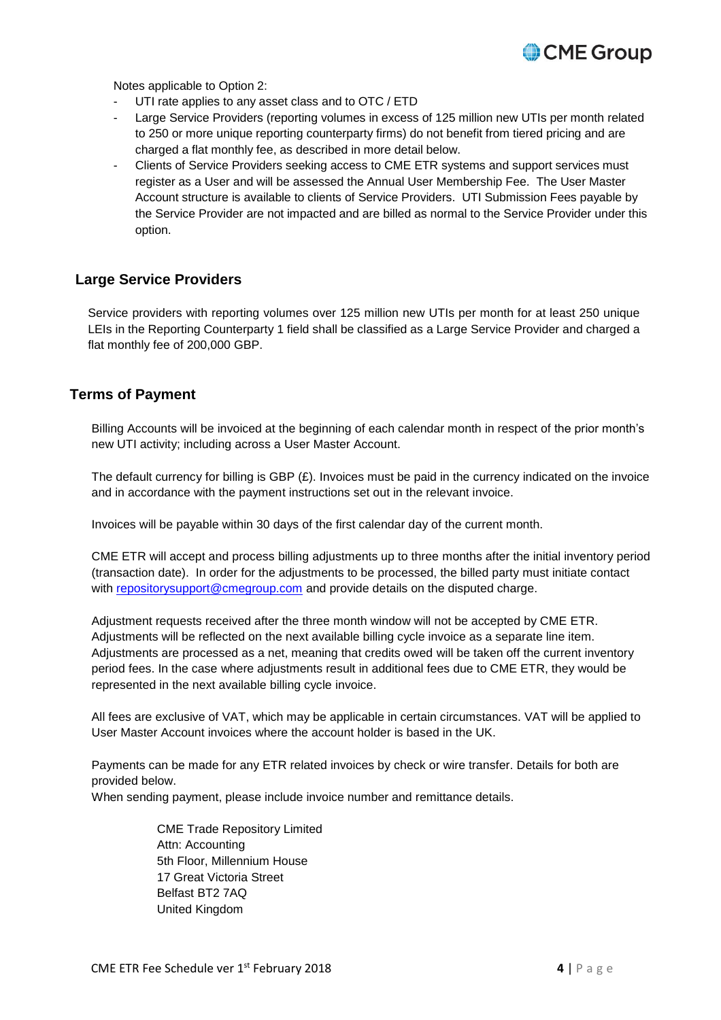

Notes applicable to Option 2:

- UTI rate applies to any asset class and to OTC / ETD
- Large Service Providers (reporting volumes in excess of 125 million new UTIs per month related to 250 or more unique reporting counterparty firms) do not benefit from tiered pricing and are charged a flat monthly fee, as described in more detail below.
- Clients of Service Providers seeking access to CME ETR systems and support services must register as a User and will be assessed the Annual User Membership Fee. The User Master Account structure is available to clients of Service Providers. UTI Submission Fees payable by the Service Provider are not impacted and are billed as normal to the Service Provider under this option.

# **Large Service Providers**

Service providers with reporting volumes over 125 million new UTIs per month for at least 250 unique LEIs in the Reporting Counterparty 1 field shall be classified as a Large Service Provider and charged a flat monthly fee of 200,000 GBP.

# **Terms of Payment**

Billing Accounts will be invoiced at the beginning of each calendar month in respect of the prior month's new UTI activity; including across a User Master Account.

The default currency for billing is GBP (£). Invoices must be paid in the currency indicated on the invoice and in accordance with the payment instructions set out in the relevant invoice.

Invoices will be payable within 30 days of the first calendar day of the current month.

CME ETR will accept and process billing adjustments up to three months after the initial inventory period (transaction date). In order for the adjustments to be processed, the billed party must initiate contact with [repositorysupport@cmegroup.com](mailto:repositorysupport@cmegroup.com) and provide details on the disputed charge.

Adjustment requests received after the three month window will not be accepted by CME ETR. Adjustments will be reflected on the next available billing cycle invoice as a separate line item. Adjustments are processed as a net, meaning that credits owed will be taken off the current inventory period fees. In the case where adjustments result in additional fees due to CME ETR, they would be represented in the next available billing cycle invoice.

All fees are exclusive of VAT, which may be applicable in certain circumstances. VAT will be applied to User Master Account invoices where the account holder is based in the UK.

Payments can be made for any ETR related invoices by check or wire transfer. Details for both are provided below.

When sending payment, please include invoice number and remittance details.

CME Trade Repository Limited Attn: Accounting 5th Floor, Millennium House 17 Great Victoria Street Belfast BT2 7AQ United Kingdom